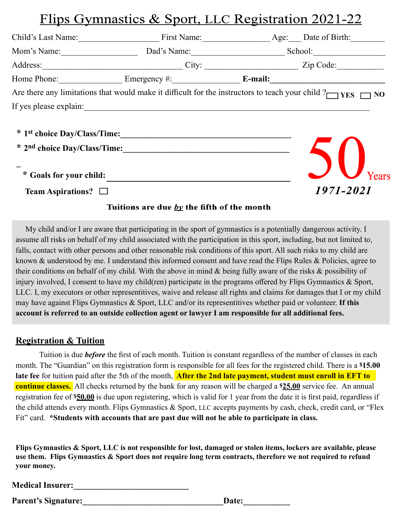## <u>Flips Gymnastics & Sport, LLC Registration 2021-22</u>

| Child's Last Name:                                         |                                                                                                                      | First Name: Age: Date of Birth: |                 |  |
|------------------------------------------------------------|----------------------------------------------------------------------------------------------------------------------|---------------------------------|-----------------|--|
| Mom's Name:                                                | Dad's Name:                                                                                                          |                                 |                 |  |
|                                                            |                                                                                                                      |                                 | City: Zip Code: |  |
|                                                            | Home Phone: Emergency #: Emergency = E-mail:                                                                         |                                 |                 |  |
|                                                            | Are there any limitations that would make it difficult for the instructors to teach your child $?$                   |                                 |                 |  |
| If yes please explain:                                     | <u> 2000 - Jan Barat, prima de la contrada de la contrada de la contrada de la contrada de la contrada de la con</u> |                                 |                 |  |
| * Goals for your child:<br><b>Team Aspirations?</b> $\Box$ | * 1st choice Day/Class/Time:                                                                                         |                                 | 1971-2021       |  |
|                                                            | Tuitions are due by the fifth of the month                                                                           |                                 |                 |  |

 My child and/or I are aware that participating in the sport of gymnastics is a potentially dangerous activity. I assume all risks on behalf of my child associated with the participation in this sport, including, but not limited to, falls, contact with other persons and other reasonable risk conditions of this sport. All such risks to my child are known & understood by me. I understand this informed consent and have read the Flips Rules & Policies, agree to their conditions on behalf of my child. With the above in mind & being fully aware of the risks & possibility of injury involved, I consent to have my child(ren) participate in the programs offered by Flips Gymnastics  $\&$  Sport, LLC. I, my executors or other representitives, waive and release all rights and claims for damages that I or my child may have against Flips Gymnastics & Sport, LLC and/or its representitives whether paid or volunteer. **If this account is referred to an outside collection agent or lawyer I am responsible for all additional fees.**

#### **Registration & Tuition**

Tuition is due *before* the first of each month. Tuition is constant regardless of the number of classes in each month. The "Guardian" on this registration form is responsible for all fees for the registered child. There is a **\$15.00 late fee** for tuition paid after the 5th of the month, **After the 2nd late payment, student must enroll in EFT to continue classes.** All checks returned by the bank for any reason will be charged a **\$25.00** service fee. An annual registration fee of \$50.00 is due upon registering, which is valid for 1 year from the date it is first paid, regardless if the child attends every month. Flips Gymnastics & Sport, LLC accepts payments by cash, check, credit card, or "Flex Fit" card. **\*Students with accounts that are past due will not be able to participate in class.**

**Flips Gymnastics & Sport, LLC is not responsible for lost, damaged or stolen items, lockers are available, please use them. Flips Gymnastics & Sport does not require long term contracts, therefore we not required to refund your money.**

| <b>Medical Insurer:</b> |  |  |  |
|-------------------------|--|--|--|
|                         |  |  |  |

**Parent's Signature:** Date: